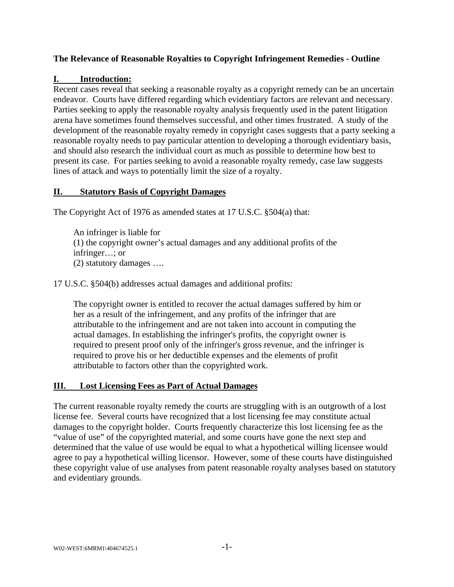## **The Relevance of Reasonable Royalties to Copyright Infringement Remedies - Outline**

## **I. Introduction:**

Recent cases reveal that seeking a reasonable royalty as a copyright remedy can be an uncertain endeavor. Courts have differed regarding which evidentiary factors are relevant and necessary. Parties seeking to apply the reasonable royalty analysis frequently used in the patent litigation arena have sometimes found themselves successful, and other times frustrated. A study of the development of the reasonable royalty remedy in copyright cases suggests that a party seeking a reasonable royalty needs to pay particular attention to developing a thorough evidentiary basis, and should also research the individual court as much as possible to determine how best to present its case. For parties seeking to avoid a reasonable royalty remedy, case law suggests lines of attack and ways to potentially limit the size of a royalty.

## **II. Statutory Basis of Copyright Damages**

The Copyright Act of 1976 as amended states at 17 U.S.C. §504(a) that:

An infringer is liable for (1) the copyright owner's actual damages and any additional profits of the infringer…; or (2) statutory damages ….

17 U.S.C. §504(b) addresses actual damages and additional profits:

The copyright owner is entitled to recover the actual damages suffered by him or her as a result of the infringement, and any profits of the infringer that are attributable to the infringement and are not taken into account in computing the actual damages. In establishing the infringer's profits, the copyright owner is required to present proof only of the infringer's gross revenue, and the infringer is required to prove his or her deductible expenses and the elements of profit attributable to factors other than the copyrighted work.

#### **III. Lost Licensing Fees as Part of Actual Damages**

The current reasonable royalty remedy the courts are struggling with is an outgrowth of a lost license fee. Several courts have recognized that a lost licensing fee may constitute actual damages to the copyright holder. Courts frequently characterize this lost licensing fee as the "value of use" of the copyrighted material, and some courts have gone the next step and determined that the value of use would be equal to what a hypothetical willing licensee would agree to pay a hypothetical willing licensor. However, some of these courts have distinguished these copyright value of use analyses from patent reasonable royalty analyses based on statutory and evidentiary grounds.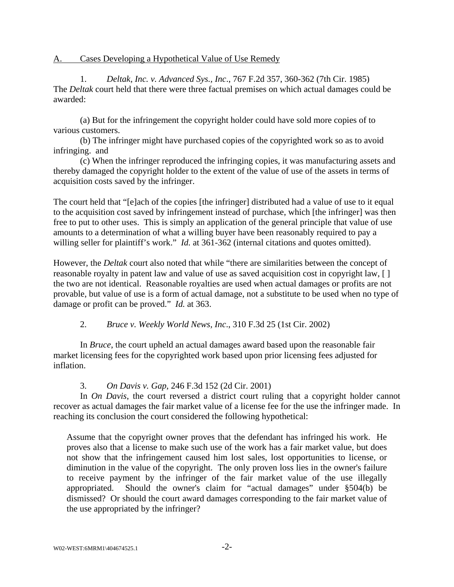#### A. Cases Developing a Hypothetical Value of Use Remedy

 1. *Deltak, Inc. v. Advanced Sys., Inc*., 767 F.2d 357, 360-362 (7th Cir. 1985) The *Deltak* court held that there were three factual premises on which actual damages could be awarded:

 (a) But for the infringement the copyright holder could have sold more copies of to various customers.

 (b) The infringer might have purchased copies of the copyrighted work so as to avoid infringing. and

 (c) When the infringer reproduced the infringing copies, it was manufacturing assets and thereby damaged the copyright holder to the extent of the value of use of the assets in terms of acquisition costs saved by the infringer.

The court held that "[e]ach of the copies [the infringer] distributed had a value of use to it equal to the acquisition cost saved by infringement instead of purchase, which [the infringer] was then free to put to other uses. This is simply an application of the general principle that value of use amounts to a determination of what a willing buyer have been reasonably required to pay a willing seller for plaintiff's work." *Id.* at 361-362 (internal citations and quotes omitted).

However, the *Deltak* court also noted that while "there are similarities between the concept of reasonable royalty in patent law and value of use as saved acquisition cost in copyright law, [ ] the two are not identical. Reasonable royalties are used when actual damages or profits are not provable, but value of use is a form of actual damage, not a substitute to be used when no type of damage or profit can be proved." *Id.* at 363.

2. *Bruce v. Weekly World News, Inc*., 310 F.3d 25 (1st Cir. 2002)

 In *Bruce*, the court upheld an actual damages award based upon the reasonable fair market licensing fees for the copyrighted work based upon prior licensing fees adjusted for inflation.

3. *On Davis v. Gap*, 246 F.3d 152 (2d Cir. 2001)

 In *On Davis*, the court reversed a district court ruling that a copyright holder cannot recover as actual damages the fair market value of a license fee for the use the infringer made. In reaching its conclusion the court considered the following hypothetical:

Assume that the copyright owner proves that the defendant has infringed his work. He proves also that a license to make such use of the work has a fair market value, but does not show that the infringement caused him lost sales, lost opportunities to license, or diminution in the value of the copyright. The only proven loss lies in the owner's failure to receive payment by the infringer of the fair market value of the use illegally appropriated. Should the owner's claim for "actual damages" under §504(b) be dismissed? Or should the court award damages corresponding to the fair market value of the use appropriated by the infringer?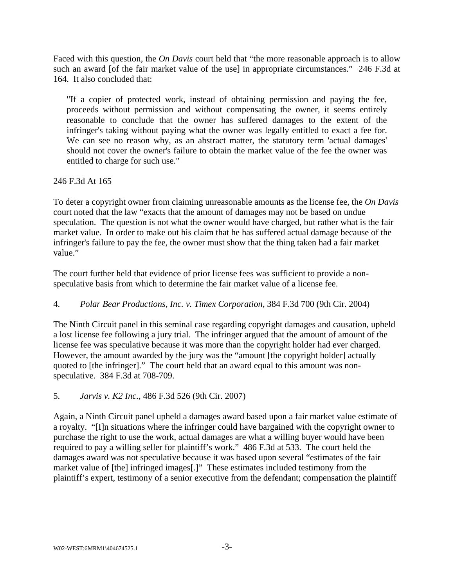Faced with this question, the *On Davis* court held that "the more reasonable approach is to allow such an award [of the fair market value of the use] in appropriate circumstances." 246 F.3d at 164. It also concluded that:

"If a copier of protected work, instead of obtaining permission and paying the fee, proceeds without permission and without compensating the owner, it seems entirely reasonable to conclude that the owner has suffered damages to the extent of the infringer's taking without paying what the owner was legally entitled to exact a fee for. We can see no reason why, as an abstract matter, the statutory term 'actual damages' should not cover the owner's failure to obtain the market value of the fee the owner was entitled to charge for such use."

## 246 F.3d At 165

To deter a copyright owner from claiming unreasonable amounts as the license fee, the *On Davis* court noted that the law "exacts that the amount of damages may not be based on undue speculation. The question is not what the owner would have charged, but rather what is the fair market value. In order to make out his claim that he has suffered actual damage because of the infringer's failure to pay the fee, the owner must show that the thing taken had a fair market value."

The court further held that evidence of prior license fees was sufficient to provide a nonspeculative basis from which to determine the fair market value of a license fee.

## 4. *Polar Bear Productions, Inc. v. Timex Corporation*, 384 F.3d 700 (9th Cir. 2004)

The Ninth Circuit panel in this seminal case regarding copyright damages and causation, upheld a lost license fee following a jury trial. The infringer argued that the amount of amount of the license fee was speculative because it was more than the copyright holder had ever charged. However, the amount awarded by the jury was the "amount [the copyright holder] actually quoted to [the infringer]." The court held that an award equal to this amount was nonspeculative. 384 F.3d at 708-709.

## 5. *Jarvis v. K2 Inc.*, 486 F.3d 526 (9th Cir. 2007)

Again, a Ninth Circuit panel upheld a damages award based upon a fair market value estimate of a royalty. "[I]n situations where the infringer could have bargained with the copyright owner to purchase the right to use the work, actual damages are what a willing buyer would have been required to pay a willing seller for plaintiff's work." 486 F.3d at 533. The court held the damages award was not speculative because it was based upon several "estimates of the fair market value of [the] infringed images[.]" These estimates included testimony from the plaintiff's expert, testimony of a senior executive from the defendant; compensation the plaintiff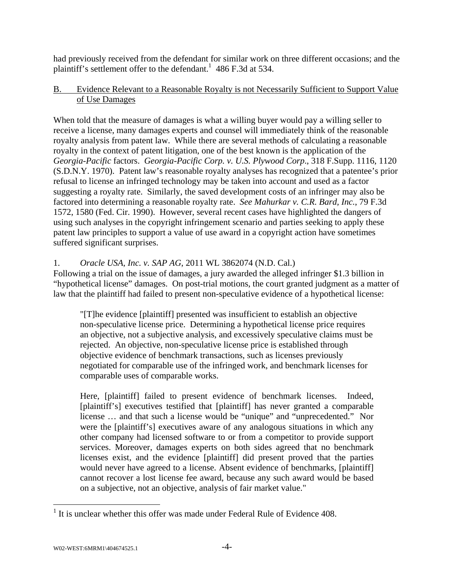had previously received from the defendant for similar work on three different occasions; and the plaintiff's settlement offer to the defendant.<sup>1</sup> 486 F.3d at 534.

### B. Evidence Relevant to a Reasonable Royalty is not Necessarily Sufficient to Support Value of Use Damages

When told that the measure of damages is what a willing buyer would pay a willing seller to receive a license, many damages experts and counsel will immediately think of the reasonable royalty analysis from patent law. While there are several methods of calculating a reasonable royalty in the context of patent litigation, one of the best known is the application of the *Georgia-Pacific* factors. *Georgia-Pacific Corp. v. U.S. Plywood Corp*., 318 F.Supp. 1116, 1120 (S.D.N.Y. 1970). Patent law's reasonable royalty analyses has recognized that a patentee's prior refusal to license an infringed technology may be taken into account and used as a factor suggesting a royalty rate. Similarly, the saved development costs of an infringer may also be factored into determining a reasonable royalty rate. *See Mahurkar v. C.R. Bard, Inc.*, 79 F.3d 1572, 1580 (Fed. Cir. 1990). However, several recent cases have highlighted the dangers of using such analyses in the copyright infringement scenario and parties seeking to apply these patent law principles to support a value of use award in a copyright action have sometimes suffered significant surprises.

### 1. *Oracle USA, Inc. v. SAP AG*, 2011 WL 3862074 (N.D. Cal.)

Following a trial on the issue of damages, a jury awarded the alleged infringer \$1.3 billion in "hypothetical license" damages. On post-trial motions, the court granted judgment as a matter of law that the plaintiff had failed to present non-speculative evidence of a hypothetical license:

"[T]he evidence [plaintiff] presented was insufficient to establish an objective non-speculative license price. Determining a hypothetical license price requires an objective, not a subjective analysis, and excessively speculative claims must be rejected. An objective, non-speculative license price is established through objective evidence of benchmark transactions, such as licenses previously negotiated for comparable use of the infringed work, and benchmark licenses for comparable uses of comparable works.

Here, [plaintiff] failed to present evidence of benchmark licenses. Indeed, [plaintiff's] executives testified that [plaintiff] has never granted a comparable license … and that such a license would be "unique" and "unprecedented." Nor were the [plaintiff's] executives aware of any analogous situations in which any other company had licensed software to or from a competitor to provide support services. Moreover, damages experts on both sides agreed that no benchmark licenses exist, and the evidence [plaintiff] did present proved that the parties would never have agreed to a license. Absent evidence of benchmarks, [plaintiff] cannot recover a lost license fee award, because any such award would be based on a subjective, not an objective, analysis of fair market value."

 $\overline{a}$ 

 $1$  It is unclear whether this offer was made under Federal Rule of Evidence 408.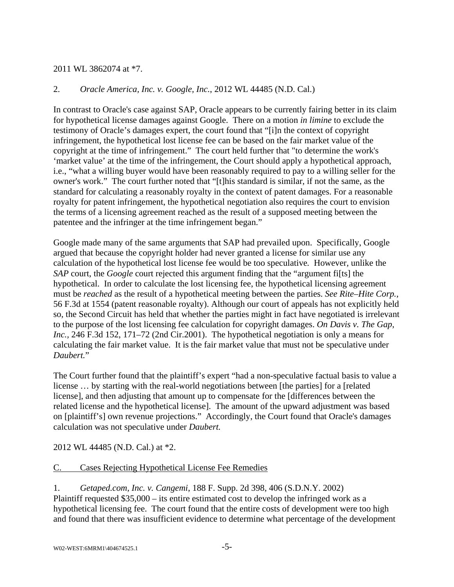#### 2011 WL 3862074 at \*7.

### 2. *Oracle America, Inc. v. Google, Inc.*, 2012 WL 44485 (N.D. Cal.)

In contrast to Oracle's case against SAP, Oracle appears to be currently fairing better in its claim for hypothetical license damages against Google. There on a motion *in limine* to exclude the testimony of Oracle's damages expert, the court found that "[i]n the context of copyright infringement, the hypothetical lost license fee can be based on the fair market value of the copyright at the time of infringement." The court held further that "to determine the work's 'market value' at the time of the infringement, the Court should apply a hypothetical approach, i.e., "what a willing buyer would have been reasonably required to pay to a willing seller for the owner's work." The court further noted that "[t]his standard is similar, if not the same, as the standard for calculating a reasonably royalty in the context of patent damages. For a reasonable royalty for patent infringement, the hypothetical negotiation also requires the court to envision the terms of a licensing agreement reached as the result of a supposed meeting between the patentee and the infringer at the time infringement began."

Google made many of the same arguments that SAP had prevailed upon. Specifically, Google argued that because the copyright holder had never granted a license for similar use any calculation of the hypothetical lost license fee would be too speculative*.* However, unlike the *SAP* court, the *Google* court rejected this argument finding that the "argument fi[ts] the hypothetical. In order to calculate the lost licensing fee, the hypothetical licensing agreement must be *reached* as the result of a hypothetical meeting between the parties. *See Rite–Hite Corp.,* 56 F.3d at 1554 (patent reasonable royalty). Although our court of appeals has not explicitly held so, the Second Circuit has held that whether the parties might in fact have negotiated is irrelevant to the purpose of the lost licensing fee calculation for copyright damages. *On Davis v. The Gap, Inc.,* 246 F.3d 152, 171–72 (2nd Cir.2001). The hypothetical negotiation is only a means for calculating the fair market value. It is the fair market value that must not be speculative under *Daubert.*"

The Court further found that the plaintiff's expert "had a non-speculative factual basis to value a license … by starting with the real-world negotiations between [the parties] for a [related license], and then adjusting that amount up to compensate for the [differences between the related license and the hypothetical license]. The amount of the upward adjustment was based on [plaintiff's] own revenue projections." Accordingly, the Court found that Oracle's damages calculation was not speculative under *Daubert.* 

2012 WL 44485 (N.D. Cal.) at \*2.

## C. Cases Rejecting Hypothetical License Fee Remedies

1. *Getaped.com, Inc. v. Cangemi*, 188 F. Supp. 2d 398, 406 (S.D.N.Y. 2002) Plaintiff requested \$35,000 – its entire estimated cost to develop the infringed work as a hypothetical licensing fee. The court found that the entire costs of development were too high and found that there was insufficient evidence to determine what percentage of the development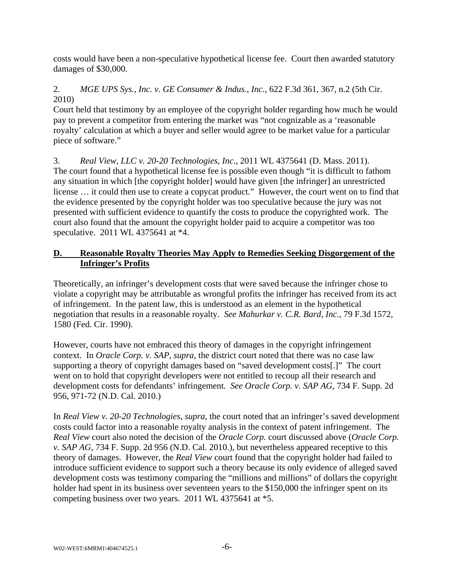costs would have been a non-speculative hypothetical license fee. Court then awarded statutory damages of \$30,000.

2. *MGE UPS Sys., Inc. v. GE Consumer & Indus., Inc.*, 622 F.3d 361, 367, n.2 (5th Cir. 2010)

Court held that testimony by an employee of the copyright holder regarding how much he would pay to prevent a competitor from entering the market was "not cognizable as a 'reasonable royalty' calculation at which a buyer and seller would agree to be market value for a particular piece of software."

3. *Real View, LLC v. 20-20 Technologies, Inc*., 2011 WL 4375641 (D. Mass. 2011). The court found that a hypothetical license fee is possible even though "it is difficult to fathom any situation in which [the copyright holder] would have given [the infringer] an unrestricted license ... it could then use to create a copycat product." However, the court went on to find that the evidence presented by the copyright holder was too speculative because the jury was not presented with sufficient evidence to quantify the costs to produce the copyrighted work. The court also found that the amount the copyright holder paid to acquire a competitor was too speculative. 2011 WL 4375641 at \*4.

# **D. Reasonable Royalty Theories May Apply to Remedies Seeking Disgorgement of the Infringer's Profits**

Theoretically, an infringer's development costs that were saved because the infringer chose to violate a copyright may be attributable as wrongful profits the infringer has received from its act of infringement. In the patent law, this is understood as an element in the hypothetical negotiation that results in a reasonable royalty. *See Mahurkar v. C.R. Bard, Inc.*, 79 F.3d 1572, 1580 (Fed. Cir. 1990).

However, courts have not embraced this theory of damages in the copyright infringement context. In *Oracle Corp. v. SAP*, *supra*, the district court noted that there was no case law supporting a theory of copyright damages based on "saved development costs[.]" The court went on to hold that copyright developers were not entitled to recoup all their research and development costs for defendants' infringement. *See Oracle Corp. v. SAP AG*, 734 F. Supp. 2d 956, 971-72 (N.D. Cal. 2010.)

In *Real View v. 20-20 Technologies*, *supra*, the court noted that an infringer's saved development costs could factor into a reasonable royalty analysis in the context of patent infringement. The *Real View* court also noted the decision of the *Oracle Corp.* court discussed above (*Oracle Corp. v. SAP AG*, 734 F. Supp. 2d 956 (N.D. Cal. 2010.), but nevertheless appeared receptive to this theory of damages. However, the *Real View* court found that the copyright holder had failed to introduce sufficient evidence to support such a theory because its only evidence of alleged saved development costs was testimony comparing the "millions and millions" of dollars the copyright holder had spent in its business over seventeen years to the \$150,000 the infringer spent on its competing business over two years. 2011 WL 4375641 at \*5.